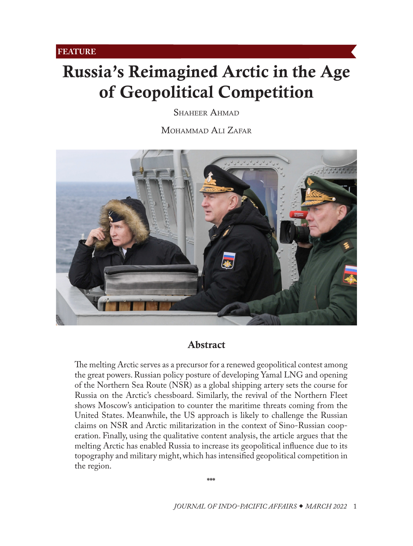# <span id="page-0-0"></span>Russia's Reimagined Arctic in the Age of Geopolitical Competition

SHAHEER AHMAD

MOHAMMAD ALI ZAFAR



## Abstract

The melting Arctic serves as a precursor for a renewed geopolitical contest among the great powers. Russian policy posture of developing Yamal LNG and opening of the Northern Sea Route (NSR) as a global shipping artery sets the course for Russia on the Arctic's chessboard. Similarly, the revival of the Northern Fleet shows Moscow's anticipation to counter the maritime threats coming from the United States. Meanwhile, the US approach is likely to challenge the Russian claims on NSR and Arctic militarization in the context of Sino-Russian cooperation. Finally, using the qualitative content analysis, the article argues that the melting Arctic has enabled Russia to increase its geopolitical influence due to its topography and military might, which has intensified geopolitical competition in the region.

**\*\*\***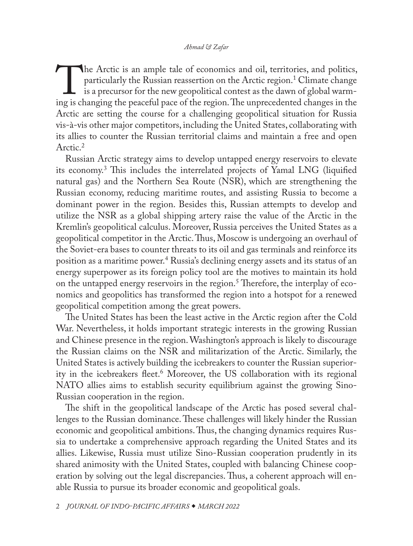<span id="page-1-0"></span>The Arctic is an ample tale of economics and oil, territories, and politics, particularly the Russian reassertion on the Arctic region.<sup>1</sup> Climate change is a precursor for the new geopolitical contest as the dawn of globa particularly the Russian reassertion on the Arctic region.<sup>1</sup> Climate change is a precursor for the new geopolitical contest as the dawn of global warming is changing the peaceful pace of the region. The unprecedented changes in the Arctic are setting the course for a challenging geopolitical situation for Russia vis-à-vis other major competitors, including the United States, collaborating with its allies to counter the Russian territorial claims and maintain a free and open Arctic.<sup>[2](#page-17-0)</sup>

Russian Arctic strategy aims to develop untapped energy reservoirs to elevate its economy.[3](#page-17-0) This includes the interrelated projects of Yamal LNG (liquified natural gas) and the Northern Sea Route (NSR), which are strengthening the Russian economy, reducing maritime routes, and assisting Russia to become a dominant power in the region. Besides this, Russian attempts to develop and utilize the NSR as a global shipping artery raise the value of the Arctic in the Kremlin's geopolitical calculus. Moreover, Russia perceives the United States as a geopolitical competitor in the Arctic. Thus, Moscow is undergoing an overhaul of the Soviet-era bases to counter threats to its oil and gas terminals and reinforce its position as a maritime power.[4](#page-17-0) Russia's declining energy assets and its status of an energy superpower as its foreign policy tool are the motives to maintain its hold on the untapped energy reservoirs in the region.<sup>[5](#page-17-0)</sup> Therefore, the interplay of economics and geopolitics has transformed the region into a hotspot for a renewed geopolitical competition among the great powers.

The United States has been the least active in the Arctic region after the Cold War. Nevertheless, it holds important strategic interests in the growing Russian and Chinese presence in the region. Washington's approach is likely to discourage the Russian claims on the NSR and militarization of the Arctic. Similarly, the United States is actively building the icebreakers to counter the Russian superiority in the icebreakers fleet.[6](#page-17-0) Moreover, the US collaboration with its regional NATO allies aims to establish security equilibrium against the growing Sino-Russian cooperation in the region.

The shift in the geopolitical landscape of the Arctic has posed several challenges to the Russian dominance. These challenges will likely hinder the Russian economic and geopolitical ambitions. Thus, the changing dynamics requires Russia to undertake a comprehensive approach regarding the United States and its allies. Likewise, Russia must utilize Sino-Russian cooperation prudently in its shared animosity with the United States, coupled with balancing Chinese cooperation by solving out the legal discrepancies. Thus, a coherent approach will enable Russia to pursue its broader economic and geopolitical goals.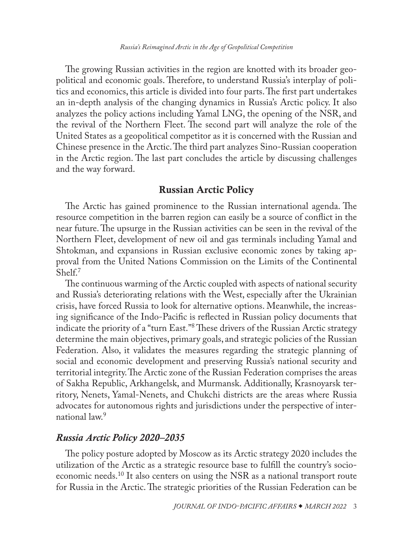<span id="page-2-0"></span>The growing Russian activities in the region are knotted with its broader geopolitical and economic goals. Therefore, to understand Russia's interplay of politics and economics, this article is divided into four parts. The first part undertakes an in-depth analysis of the changing dynamics in Russia's Arctic policy. It also analyzes the policy actions including Yamal LNG, the opening of the NSR, and the revival of the Northern Fleet. The second part will analyze the role of the United States as a geopolitical competitor as it is concerned with the Russian and Chinese presence in the Arctic. The third part analyzes Sino-Russian cooperation in the Arctic region. The last part concludes the article by discussing challenges and the way forward.

## Russian Arctic Policy

The Arctic has gained prominence to the Russian international agenda. The resource competition in the barren region can easily be a source of conflict in the near future. The upsurge in the Russian activities can be seen in the revival of the Northern Fleet, development of new oil and gas terminals including Yamal and Shtokman, and expansions in Russian exclusive economic zones by taking approval from the United Nations Commission on the Limits of the Continental Shelf.[7](#page-17-0)

The continuous warming of the Arctic coupled with aspects of national security and Russia's deteriorating relations with the West, especially after the Ukrainian crisis, have forced Russia to look for alternative options. Meanwhile, the increasing significance of the Indo-Pacific is reflected in Russian policy documents that indicate the priority of a "turn East."[8](#page-17-0) These drivers of the Russian Arctic strategy determine the main objectives, primary goals, and strategic policies of the Russian Federation. Also, it validates the measures regarding the strategic planning of social and economic development and preserving Russia's national security and territorial integrity. The Arctic zone of the Russian Federation comprises the areas of Sakha Republic, Arkhangelsk, and Murmansk. Additionally, Krasnoyarsk territory, Nenets, Yamal-Nenets, and Chukchi districts are the areas where Russia advocates for autonomous rights and jurisdictions under the perspective of international law.[9](#page-17-0)

## *Russia Arctic Policy 2020–2035*

The policy posture adopted by Moscow as its Arctic strategy 2020 includes the utilization of the Arctic as a strategic resource base to fulfill the country's socioeconomic needs.<sup>10</sup> It also centers on using the NSR as a national transport route for Russia in the Arctic. The strategic priorities of the Russian Federation can be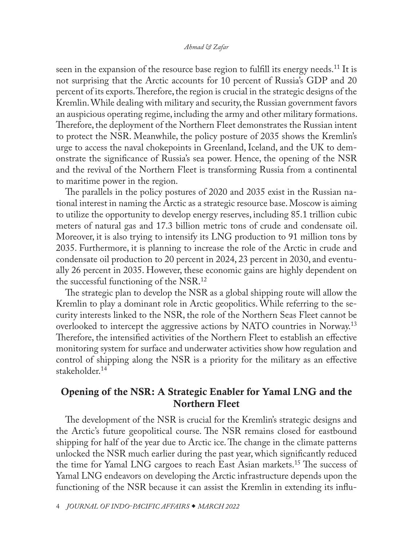<span id="page-3-0"></span>seen in the expansion of the resource base region to fulfill its energy needs.<sup>11</sup> It is not surprising that the Arctic accounts for 10 percent of Russia's GDP and 20 percent of its exports. Therefore, the region is crucial in the strategic designs of the Kremlin. While dealing with military and security, the Russian government favors an auspicious operating regime, including the army and other military formations. Therefore, the deployment of the Northern Fleet demonstrates the Russian intent to protect the NSR. Meanwhile, the policy posture of 2035 shows the Kremlin's urge to access the naval chokepoints in Greenland, Iceland, and the UK to demonstrate the significance of Russia's sea power. Hence, the opening of the NSR and the revival of the Northern Fleet is transforming Russia from a continental to maritime power in the region.

The parallels in the policy postures of 2020 and 2035 exist in the Russian national interest in naming the Arctic as a strategic resource base. Moscow is aiming to utilize the opportunity to develop energy reserves, including 85.1 trillion cubic meters of natural gas and 17.3 billion metric tons of crude and condensate oil. Moreover, it is also trying to intensify its LNG production to 91 million tons by 2035. Furthermore, it is planning to increase the role of the Arctic in crude and condensate oil production to 20 percent in 2024, 23 percent in 2030, and eventually 26 percent in 2035. However, these economic gains are highly dependent on the successful functioning of the NSR.[12](#page-17-0)

The strategic plan to develop the NSR as a global shipping route will allow the Kremlin to play a dominant role in Arctic geopolitics. While referring to the security interests linked to the NSR, the role of the Northern Seas Fleet cannot be overlooked to intercept the aggressive actions by NATO countries in Norway.<sup>13</sup> Therefore, the intensified activities of the Northern Fleet to establish an effective monitoring system for surface and underwater activities show how regulation and control of shipping along the NSR is a priority for the military as an effective stakeholder.<sup>[14](#page-18-0)</sup>

## Opening of the NSR: A Strategic Enabler for Yamal LNG and the Northern Fleet

The development of the NSR is crucial for the Kremlin's strategic designs and the Arctic's future geopolitical course. The NSR remains closed for eastbound shipping for half of the year due to Arctic ice. The change in the climate patterns unlocked the NSR much earlier during the past year, which significantly reduced the time for Yamal LNG cargoes to reach East Asian markets.[15](#page-18-0) The success of Yamal LNG endeavors on developing the Arctic infrastructure depends upon the functioning of the NSR because it can assist the Kremlin in extending its influ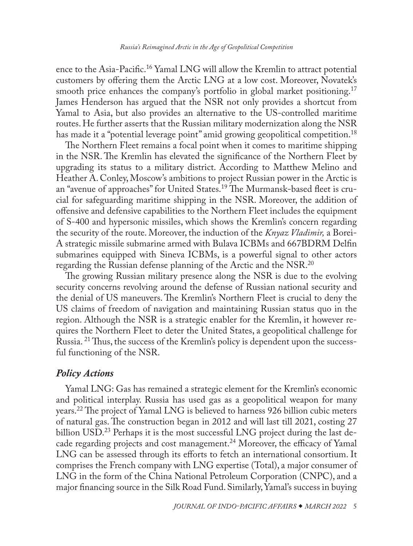<span id="page-4-0"></span>ence to the Asia-Pacific[.16](#page-18-0) Yamal LNG will allow the Kremlin to attract potential customers by offering them the Arctic LNG at a low cost. Moreover, Novatek's smooth price enhances the company's portfolio in global market positioning.<sup>[17](#page-18-0)</sup> James Henderson has argued that the NSR not only provides a shortcut from Yamal to Asia, but also provides an alternative to the US-controlled maritime routes. He further asserts that the Russian military modernization along the NSR has made it a "potential leverage point" amid growing geopolitical competition.<sup>18</sup>

The Northern Fleet remains a focal point when it comes to maritime shipping in the NSR. The Kremlin has elevated the significance of the Northern Fleet by upgrading its status to a military district. According to Matthew Melino and Heather A. Conley, Moscow's ambitions to project Russian power in the Arctic is an "avenue of approaches" for United States.[19](#page-18-0) The Murmansk-based fleet is crucial for safeguarding maritime shipping in the NSR. Moreover, the addition of offensive and defensive capabilities to the Northern Fleet includes the equipment of S-400 and hypersonic missiles, which shows the Kremlin's concern regarding the security of the route. Moreover, the induction of the *Knyaz Vladimir,* a Borei-A strategic missile submarine armed with Bulava ICBMs and 667BDRM Delfin submarines equipped with Sineva ICBMs, is a powerful signal to other actors regarding the Russian defense planning of the Arctic and the NSR.<sup>[20](#page-18-0)</sup>

The growing Russian military presence along the NSR is due to the evolving security concerns revolving around the defense of Russian national security and the denial of US maneuvers. The Kremlin's Northern Fleet is crucial to deny the US claims of freedom of navigation and maintaining Russian status quo in the region. Although the NSR is a strategic enabler for the Kremlin, it however requires the Northern Fleet to deter the United States, a geopolitical challenge for Russia. [21](#page-18-0) Thus, the success of the Kremlin's policy is dependent upon the successful functioning of the NSR.

## *Policy Actions*

Yamal LNG: Gas has remained a strategic element for the Kremlin's economic and political interplay. Russia has used gas as a geopolitical weapon for many years.[22](#page-18-0) The project of Yamal LNG is believed to harness 926 billion cubic meters of natural gas. The construction began in 2012 and will last till 2021, costing 27 billion USD.<sup>[23](#page-18-0)</sup> Perhaps it is the most successful LNG project during the last decade regarding projects and cost management.[24](#page-18-0) Moreover, the efficacy of Yamal LNG can be assessed through its efforts to fetch an international consortium. It comprises the French company with LNG expertise (Total), a major consumer of LNG in the form of the China National Petroleum Corporation (CNPC), and a major financing source in the Silk Road Fund. Similarly, Yamal's success in buying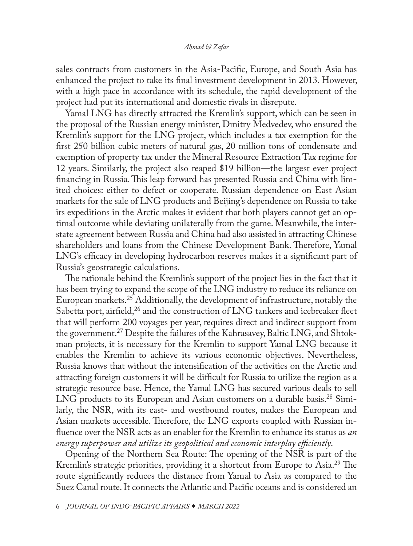<span id="page-5-0"></span>sales contracts from customers in the Asia-Pacific, Europe, and South Asia has enhanced the project to take its final investment development in 2013. However, with a high pace in accordance with its schedule, the rapid development of the project had put its international and domestic rivals in disrepute.

Yamal LNG has directly attracted the Kremlin's support, which can be seen in the proposal of the Russian energy minister, Dmitry Medvedev, who ensured the Kremlin's support for the LNG project, which includes a tax exemption for the first 250 billion cubic meters of natural gas, 20 million tons of condensate and exemption of property tax under the Mineral Resource Extraction Tax regime for 12 years. Similarly, the project also reaped \$19 billion—the largest ever project financing in Russia. This leap forward has presented Russia and China with limited choices: either to defect or cooperate. Russian dependence on East Asian markets for the sale of LNG products and Beijing's dependence on Russia to take its expeditions in the Arctic makes it evident that both players cannot get an optimal outcome while deviating unilaterally from the game. Meanwhile, the interstate agreement between Russia and China had also assisted in attracting Chinese shareholders and loans from the Chinese Development Bank. Therefore, Yamal LNG's efficacy in developing hydrocarbon reserves makes it a significant part of Russia's geostrategic calculations.

The rationale behind the Kremlin's support of the project lies in the fact that it has been trying to expand the scope of the LNG industry to reduce its reliance on European markets[.25](#page-18-0) Additionally, the development of infrastructure, notably the Sabetta port, airfield,<sup>26</sup> and the construction of LNG tankers and icebreaker fleet that will perform 200 voyages per year, requires direct and indirect support from the government.[27](#page-18-0) Despite the failures of the Kahrasavey, Baltic LNG, and Shtokman projects, it is necessary for the Kremlin to support Yamal LNG because it enables the Kremlin to achieve its various economic objectives. Nevertheless, Russia knows that without the intensification of the activities on the Arctic and attracting foreign customers it will be difficult for Russia to utilize the region as a strategic resource base. Hence, the Yamal LNG has secured various deals to sell LNG products to its European and Asian customers on a durable basis.<sup>28</sup> Similarly, the NSR, with its east- and westbound routes, makes the European and Asian markets accessible. Therefore, the LNG exports coupled with Russian influence over the NSR acts as an enabler for the Kremlin to enhance its status as *an energy superpower and utilize its geopolitical and economic interplay efficiently*.

Opening of the Northern Sea Route: The opening of the NSR is part of the Kremlin's strategic priorities, providing it a shortcut from Europe to Asia.<sup>29</sup> The route significantly reduces the distance from Yamal to Asia as compared to the Suez Canal route. It connects the Atlantic and Pacific oceans and is considered an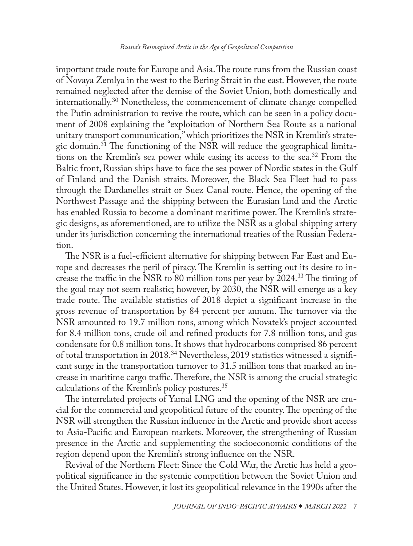<span id="page-6-0"></span>important trade route for Europe and Asia. The route runs from the Russian coast of Novaya Zemlya in the west to the Bering Strait in the east. However, the route remained neglected after the demise of the Soviet Union, both domestically and [internationally](file:///C:\Users\libpublic\Downloads\Kononenko%20and%20Moshes.%20Russia%20as%20a%20Network%20State.%20What%20Works%20in%20Russia%20When%20State%20Institutions%20Do%20Not%3f). [30](#page-18-0) Nonetheless, the commencement of climate change compelled the Putin administration to revive the route, which can be seen in a policy document of 2008 explaining the "exploitation of Northern Sea Route as a national unitary transport communication," which prioritizes the NSR in Kremlin's strategic domain.[31](#page-18-0) The functioning of the NSR will reduce the geographical limitations on the Kremlin's sea power while easing its access to the sea.<sup>32</sup> From the Baltic front, Russian ships have to face the sea power of Nordic states in the Gulf of Finland and the Danish straits. Moreover, the Black Sea Fleet had to pass through the Dardanelles strait or Suez Canal route. Hence, the opening of the Northwest Passage and the shipping between the Eurasian land and the Arctic has enabled Russia to become a dominant maritime power. The Kremlin's strategic designs, as aforementioned, are to utilize the NSR as a global shipping artery under its jurisdiction concerning the international treaties of the Russian Federation.

The NSR is a fuel-efficient alternative for shipping between Far East and Europe and decreases the peril of piracy. The Kremlin is setting out its desire to increase the traffic in the NSR to 80 million tons per year by 2024.[33](#page-18-0) The timing of the goal may not seem realistic; however, by 2030, the NSR will emerge as a key trade route. The available statistics of 2018 depict a significant increase in the gross revenue of transportation by 84 percent per annum. The turnover via the NSR amounted to 19.7 million tons, among which Novatek's project accounted for 8.4 million tons, crude oil and refined products for 7.8 million tons, and gas condensate for 0.8 million tons. It shows that hydrocarbons comprised 86 percent of total transportation in 2018.[34](#page-18-0) Nevertheless, 2019 statistics witnessed a significant surge in the transportation turnover to 31.5 million tons that marked an increase in maritime cargo traffic. Therefore, the NSR is among the crucial strategic calculations of the Kremlin's policy postures.[35](#page-18-0)

The interrelated projects of Yamal LNG and the opening of the NSR are crucial for the commercial and geopolitical future of the country. The opening of the NSR will strengthen the Russian influence in the Arctic and provide short access to Asia-Pacific and European markets. Moreover, the strengthening of Russian presence in the Arctic and supplementing the socioeconomic conditions of the region depend upon the Kremlin's strong influence on the NSR.

Revival of the Northern Fleet: Since the Cold War, the Arctic has held a geopolitical significance in the systemic competition between the Soviet Union and the United States. However, it lost its geopolitical relevance in the 1990s after the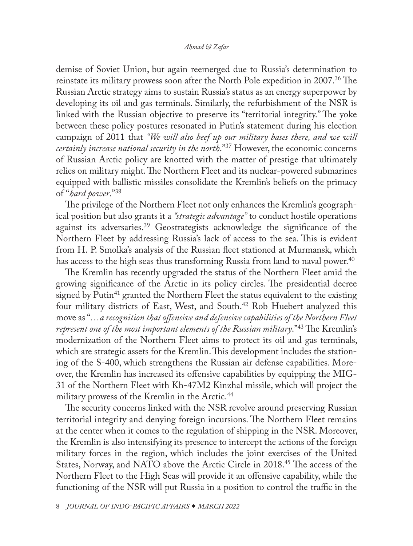<span id="page-7-0"></span>demise of Soviet Union, but again reemerged due to Russia's determination to reinstate its military prowess soon after the North Pole expedition in 2007.<sup>[36](#page-18-0)</sup> The Russian Arctic strategy aims to sustain Russia's status as an energy superpower by developing its oil and gas terminals. Similarly, the refurbishment of the NSR is linked with the Russian objective to preserve its "territorial integrity." The yoke between these policy postures resonated in Putin's statement during his election campaign of 2011 that *"We will also beef up our military bases there, and we will certainly increase national security in the north*.["37](#page-19-0) However, the economic concerns of Russian Arctic policy are knotted with the matter of prestige that ultimately relies on military might. The Northern Fleet and its nuclear-powered submarines equipped with ballistic missiles consolidate the Kremlin's beliefs on the primacy of "*hard power*.["38](#page-19-0)

The privilege of the Northern Fleet not only enhances the Kremlin's geographical position but also grants it a *"strategic advantage"* to conduct hostile operations against its adversaries.[39](#page-19-0) Geostrategists acknowledge the significance of the Northern Fleet by addressing Russia's lack of access to the sea. This is evident from H. P. Smolka's analysis of the Russian fleet stationed at Murmansk, which has access to the high seas thus transforming Russia from land to naval power.<sup>40</sup>

The Kremlin has recently upgraded the status of the Northern Fleet amid the growing significance of the Arctic in its policy circles. The presidential decree signed by Putin<sup>41</sup> granted the Northern Fleet the status equivalent to the existing four military districts of East, West, and South[.42](#page-19-0) Rob Huebert analyzed this move as "*…a recognition that offensive and defensive capabilities of the Northern Fleet represent one of the most important elements of the Russian military*."[43](#page-19-0) The Kremlin's modernization of the Northern Fleet aims to protect its oil and gas terminals, which are strategic assets for the Kremlin. This development includes the stationing of the S-400, which strengthens the Russian air defense capabilities. Moreover, the Kremlin has increased its offensive capabilities by equipping the MIG-31 of the Northern Fleet with Kh-47M2 Kinzhal missile, which will project the military prowess of the Kremlin in the Arctic.<sup>[44](#page-19-0)</sup>

The security concerns linked with the NSR revolve around preserving Russian territorial integrity and denying foreign incursions. The Northern Fleet remains at the center when it comes to the regulation of shipping in the NSR. Moreover, the Kremlin is also intensifying its presence to intercept the actions of the foreign military forces in the region, which includes the joint exercises of the United States, Norway, and NATO above the Arctic Circle in 2018.[45](#page-19-0) The access of the Northern Fleet to the High Seas will provide it an offensive capability, while the functioning of the NSR will put Russia in a position to control the traffic in the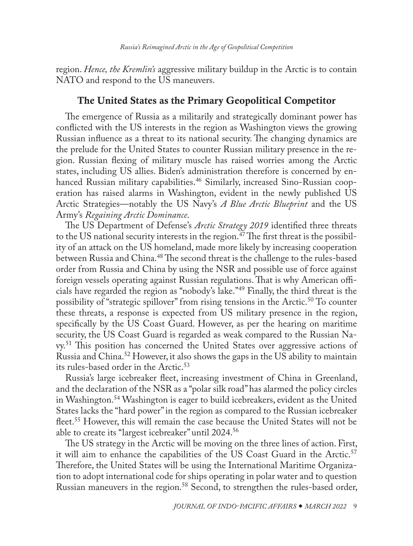<span id="page-8-0"></span>region. *Hence, the Kremlin's* aggressive military buildup in the Arctic is to contain NATO and respond to the US maneuvers.

## The United States as the Primary Geopolitical Competitor

The emergence of Russia as a militarily and strategically dominant power has conflicted with the US interests in the region as Washington views the growing Russian influence as a threat to its national security. The changing dynamics are the prelude for the United States to counter Russian military presence in the region. Russian flexing of military muscle has raised worries among the Arctic states, including US allies. Biden's administration therefore is concerned by enhanced Russian military capabilities.<sup>46</sup> Similarly, increased Sino-Russian cooperation has raised alarms in Washington, evident in the newly published US Arctic Strategies—notably the US Navy's *A Blue Arctic Blueprint* and the US Army's *Regaining Arctic Dominance*.

The US Department of Defense's *Arctic Strategy 2019* identified three threats to the US national security interests in the region.<sup> $47$ </sup> The first threat is the possibility of an attack on the US homeland, made more likely by increasing cooperation between Russia and China.<sup>48</sup> The second threat is the challenge to the rules-based order from Russia and China by using the NSR and possible use of force against foreign vessels operating against Russian regulations. That is why American officials have regarded the region as "nobody's lake."[49](#page-19-0) Finally, the third threat is the possibility of "strategic spillover" from rising tensions in the Arctic.<sup>50</sup> To counter these threats, a response is expected from US military presence in the region, specifically by the US Coast Guard. However, as per the hearing on maritime security, the US Coast Guard is regarded as weak compared to the Russian Navy[.51](#page-19-0) This position has concerned the United States over aggressive actions of Russia and China.[52](#page-19-0) However, it also shows the gaps in the US ability to maintain its rules-based order in the Arctic.<sup>53</sup>

Russia's large icebreaker fleet, increasing investment of China in Greenland, and the declaration of the NSR as a "polar silk road" has alarmed the policy circles in Washington[.54](#page-19-0) Washington is eager to build icebreakers, evident as the United States lacks the "hard power" in the region as compared to the Russian icebreaker fleet.[55](#page-19-0) However, this will remain the case because the United States will not be able to create its "largest icebreaker" until 2024[.56](#page-19-0)

The US strategy in the Arctic will be moving on the three lines of action. First, it will aim to enhance the capabilities of the US Coast Guard in the Arctic.<sup>57</sup> Therefore, the United States will be using the International Maritime Organization to adopt international code for ships operating in polar water and to question Russian maneuvers in the region.<sup>58</sup> Second, to strengthen the rules-based order,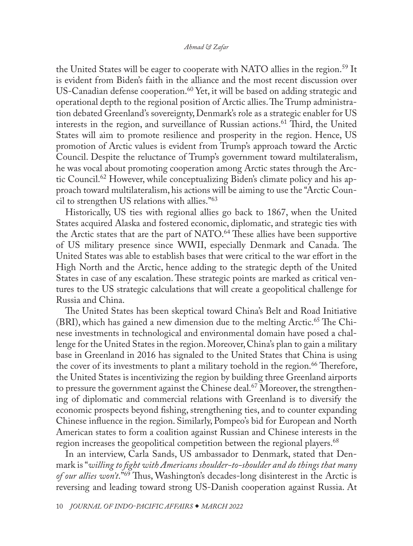<span id="page-9-0"></span>the United States will be eager to cooperate with NATO allies in the region.<sup>59</sup> It is evident from Biden's faith in the alliance and the most recent discussion over US-Canadian defense cooperation.<sup>60</sup> Yet, it will be based on adding strategic and operational depth to the regional position of Arctic allies. The Trump administration debated Greenland's sovereignty, Denmark's role as a strategic enabler for US interests in the region, and surveillance of Russian actions.<sup>[61](#page-20-0)</sup> Third, the United States will aim to promote resilience and prosperity in the region. Hence, US promotion of Arctic values is evident from Trump's approach toward the Arctic Council. Despite the reluctance of Trump's government toward multilateralism, he was vocal about promoting cooperation among Arctic states through the Arctic Council.[62](#page-20-0) However, while conceptualizing Biden's climate policy and his approach toward multilateralism, his actions will be aiming to use the "Arctic Council to strengthen US relations with allies.["63](#page-20-0)

Historically, US ties with regional allies go back to 1867, when the United States acquired Alaska and fostered economic, diplomatic, and strategic ties with the Arctic states that are the part of NATO.<sup>64</sup> These allies have been supportive of US military presence since WWII, especially Denmark and Canada. The United States was able to establish bases that were critical to the war effort in the High North and the Arctic, hence adding to the strategic depth of the United States in case of any escalation. These strategic points are marked as critical ventures to the US strategic calculations that will create a geopolitical challenge for Russia and China.

The United States has been skeptical toward China's Belt and Road Initiative  $(BRI)$ , which has gained a new dimension due to the melting Arctic.<sup>[65](#page-20-0)</sup> The Chinese investments in technological and environmental domain have posed a challenge for the United States in the region. Moreover, China's plan to gain a military base in Greenland in 2016 has signaled to the United States that China is using the cover of its investments to plant a military toehold in the region.<sup>[66](#page-20-0)</sup> Therefore, the United States is incentivizing the region by building three Greenland airports to pressure the government against the Chinese deal.<sup>[67](#page-20-0)</sup> Moreover, the strengthening of diplomatic and commercial relations with Greenland is to diversify the economic prospects beyond fishing, strengthening ties, and to counter expanding Chinese influence in the region. Similarly, Pompeo's bid for European and North American states to form a coalition against Russian and Chinese interests in the region increases the geopolitical competition between the regional players.<sup>[68](#page-20-0)</sup>

In an interview, Carla Sands, US ambassador to Denmark, stated that Denmark is "*willing to fight with Americans shoulder-to-shoulder and do things that many of our allies won't*."[69](#page-20-0) Thus, Washington's decades-long disinterest in the Arctic is reversing and leading toward strong US-Danish cooperation against Russia. At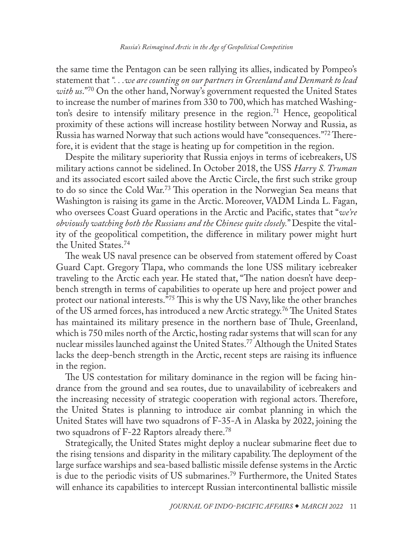<span id="page-10-0"></span>the same time the Pentagon can be seen rallying its allies, indicated by Pompeo's statement that *". . .we are counting on our partners in Greenland and Denmark to lead with us*.["70](#page-20-0) On the other hand, Norway's government requested the United States to increase the number of marines from 330 to 700, which has matched Washing-ton's desire to intensify military presence in the region.<sup>[71](#page-20-0)</sup> Hence, geopolitical proximity of these actions will increase hostility between Norway and Russia, as Russia has warned Norway that such actions would have "consequences."[72](#page-20-0) Therefore, it is evident that the stage is heating up for competition in the region.

Despite the military superiority that Russia enjoys in terms of icebreakers, US military actions cannot be sidelined. In October 2018, the USS *Harry S. Truman* and its associated escort sailed above the Arctic Circle, the first such strike group to do so since the Cold War.[73](#page-20-0) This operation in the Norwegian Sea means that Washington is raising its game in the Arctic. Moreover, VADM Linda L. Fagan, who oversees Coast Guard operations in the Arctic and Pacific, states that "*we're obviously watching both the Russians and the Chinese quite closely.*" Despite the vitality of the geopolitical competition, the difference in military power might hurt the United States[.74](#page-20-0)

The weak US naval presence can be observed from statement offered by Coast Guard Capt. Gregory Tlapa, who commands the lone USS military icebreaker traveling to the Arctic each year. He stated that, "The nation doesn't have deepbench strength in terms of capabilities to operate up here and project power and protect our national interests."[75](#page-20-0) This is why the US Navy, like the other branches of the US armed forces, has introduced a new Arctic strategy.[76](#page-20-0) The United States has maintained its military presence in the northern base of Thule, Greenland, which is 750 miles north of the Arctic, hosting radar systems that will scan for any nuclear missiles launched against the United States.<sup>77</sup> Although the United States lacks the deep-bench strength in the Arctic, recent steps are raising its influence in the region.

The US contestation for military dominance in the region will be facing hindrance from the ground and sea routes, due to unavailability of icebreakers and the increasing necessity of strategic cooperation with regional actors. Therefore, the United States is planning to introduce air combat planning in which the United States will have two squadrons of F-35-A in Alaska by 2022, joining the two squadrons of F-22 Raptors already there.<sup>[78](#page-20-0)</sup>

Strategically, the United States might deploy a nuclear submarine fleet due to the rising tensions and disparity in the military capability. The deployment of the large surface warships and sea-based ballistic missile defense systems in the Arctic is due to the periodic visits of US submarines.[79](#page-21-0) Furthermore, the United States will enhance its capabilities to intercept Russian intercontinental ballistic missile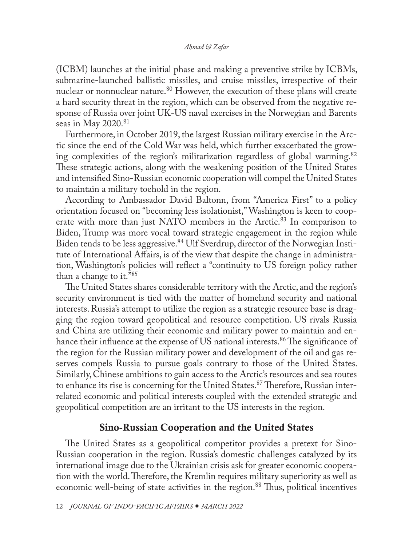<span id="page-11-0"></span>(ICBM) launches at the initial phase and making a preventive strike by ICBMs, submarine-launched ballistic missiles, and cruise missiles, irrespective of their nuclear or nonnuclear nature.<sup>80</sup> However, the execution of these plans will create a hard security threat in the region, which can be observed from the negative response of Russia over joint UK-US naval exercises in the Norwegian and Barents seas in May  $2020.^{81}$  $2020.^{81}$  $2020.^{81}$ 

Furthermore, in October 2019, the largest Russian military exercise in the Arctic since the end of the Cold War was held, which further exacerbated the growing complexities of the region's militarization regardless of global warming.[82](#page-21-0) These strategic actions, along with the weakening position of the United States and intensified Sino-Russian economic cooperation will compel the United States to maintain a military toehold in the region.

According to Ambassador David Baltonn, from "America First" to a policy orientation focused on "becoming less isolationist," Washington is keen to coop-erate with more than just NATO members in the Arctic.<sup>[83](#page-21-0)</sup> In comparison to Biden, Trump was more vocal toward strategic engagement in the region while Biden tends to be less aggressive[.84](#page-21-0) Ulf Sverdrup, director of the Norwegian Institute of International Affairs, is of the view that despite the change in administration, Washington's policies will reflect a "continuity to US foreign policy rather than a change to it."[85](#page-21-0)

The United States shares considerable territory with the Arctic, and the region's security environment is tied with the matter of homeland security and national interests. Russia's attempt to utilize the region as a strategic resource base is dragging the region toward geopolitical and resource competition. US rivals Russia and China are utilizing their economic and military power to maintain and enhance their influence at the expense of US national interests.<sup>86</sup> The significance of the region for the Russian military power and development of the oil and gas reserves compels Russia to pursue goals contrary to those of the United States. Similarly, Chinese ambitions to gain access to the Arctic's resources and sea routes to enhance its rise is concerning for the United States.<sup>87</sup> Therefore, Russian interrelated economic and political interests coupled with the extended strategic and geopolitical competition are an irritant to the US interests in the region.

## Sino-Russian Cooperation and the United States

The United States as a geopolitical competitor provides a pretext for Sino-Russian cooperation in the region. Russia's domestic challenges catalyzed by its international image due to the Ukrainian crisis ask for greater economic cooperation with the world. Therefore, the Kremlin requires military superiority as well as economic well-being of state activities in the region.<sup>[88](#page-21-0)</sup> Thus, political incentives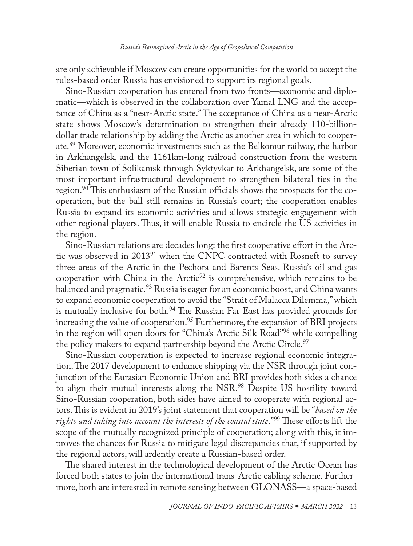<span id="page-12-0"></span>are only achievable if Moscow can create opportunities for the world to accept the rules-based order Russia has envisioned to support its regional goals.

Sino-Russian cooperation has entered from two fronts—economic and diplomatic—which is observed in the collaboration over Yamal LNG and the acceptance of China as a "near-Arctic state." The acceptance of China as a near-Arctic state shows Moscow's determination to strengthen their already 110-billiondollar trade relationship by adding the Arctic as another area in which to cooperate[.89](#page-21-0) Moreover, economic investments such as the Belkomur railway, the harbor in Arkhangelsk, and the 1161km-long railroad construction from the western Siberian town of Solikamsk through Syktyvkar to Arkhangelsk, are some of the most important infrastructural development to strengthen bilateral ties in the region.<sup>90</sup> This enthusiasm of the Russian officials shows the prospects for the cooperation, but the ball still remains in Russia's court; the cooperation enables Russia to expand its economic activities and allows strategic engagement with other regional players. Thus, it will enable Russia to encircle the US activities in the region.

Sino-Russian relations are decades long: the first cooperative effort in the Arctic was observed in 2013[91](#page-21-0) when the CNPC contracted with Rosneft to survey three areas of the Arctic in the Pechora and Barents Seas. Russia's oil and gas cooperation with China in the Arctic<sup>[92](#page-21-0)</sup> is comprehensive, which remains to be balanced and pragmatic.<sup>93</sup> Russia is eager for an economic boost, and China wants to expand economic cooperation to avoid the "Strait of Malacca Dilemma," which is mutually inclusive for both.<sup>[94](#page-21-0)</sup> The Russian Far East has provided grounds for increasing the value of cooperation.<sup>95</sup> Furthermore, the expansion of BRI projects in the region will open doors for "China's Arctic Silk Road["96](#page-21-0) while compelling the policy makers to expand partnership beyond the Arctic Circle.<sup>[97](#page-21-0)</sup>

Sino-Russian cooperation is expected to increase regional economic integration. The 2017 development to enhance shipping via the NSR through joint conjunction of the Eurasian Economic Union and BRI provides both sides a chance to align their mutual interests along the NSR.[98](#page-21-0) Despite US hostility toward Sino-Russian cooperation, both sides have aimed to cooperate with regional actors. This is evident in 2019's joint statement that cooperation will be "*based on the rights and taking into account the interests of the coastal state*.["99](#page-21-0) These efforts lift the scope of the mutually recognized principle of cooperation; along with this, it improves the chances for Russia to mitigate legal discrepancies that, if supported by the regional actors, will ardently create a Russian-based order.

The shared interest in the technological development of the Arctic Ocean has forced both states to join the international trans-Arctic cabling scheme. Furthermore, both are interested in remote sensing between GLONASS—a space-based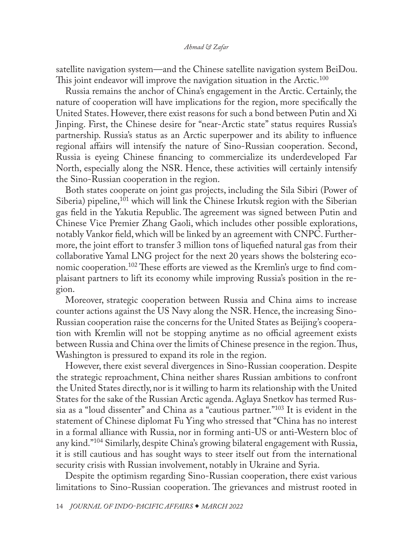<span id="page-13-0"></span>satellite navigation system—and the Chinese satellite navigation system BeiDou. This joint endeavor will improve the navigation situation in the Arctic.<sup>[100](#page-21-0)</sup>

Russia remains the anchor of China's engagement in the Arctic. Certainly, the nature of cooperation will have implications for the region, more specifically the United States. However, there exist reasons for such a bond between Putin and Xi Jinping. First, the Chinese desire for "near-Arctic state" status requires Russia's partnership. Russia's status as an Arctic superpower and its ability to influence regional affairs will intensify the nature of Sino-Russian cooperation. Second, Russia is eyeing Chinese financing to commercialize its underdeveloped Far North, especially along the NSR. Hence, these activities will certainly intensify the Sino-Russian cooperation in the region.

Both states cooperate on joint gas projects, including the Sila Sibiri (Power of Siberia) pipeline,<sup>101</sup> which will link the Chinese Irkutsk region with the Siberian gas field in the Yakutia Republic. The agreement was signed between Putin and Chinese Vice Premier Zhang Gaoli, which includes other possible explorations, notably Vankor field, which will be linked by an agreement with CNPC. Furthermore, the joint effort to transfer 3 million tons of liquefied natural gas from their collaborative Yamal LNG project for the next 20 years shows the bolstering economic cooperation.<sup>102</sup> These efforts are viewed as the Kremlin's urge to find complaisant partners to lift its economy while improving Russia's position in the region.

Moreover, strategic cooperation between Russia and China aims to increase counter actions against the US Navy along the NSR. Hence, the increasing Sino-Russian cooperation raise the concerns for the United States as Beijing's cooperation with Kremlin will not be stopping anytime as no official agreement exists between Russia and China over the limits of Chinese presence in the region. Thus, Washington is pressured to expand its role in the region.

However, there exist several divergences in Sino-Russian cooperation. Despite the strategic reproachment, China neither shares Russian ambitions to confront the United States directly, nor is it willing to harm its relationship with the United States for the sake of the Russian Arctic agenda. Aglaya Snetkov has termed Russia as a "loud dissenter" and China as a "cautious partner.["103](#page-22-0) It is evident in the statement of Chinese diplomat Fu Ying who stressed that "China has no interest in a formal alliance with Russia, nor in forming anti-US or anti-Western bloc of any kind.["104](#page-22-0) Similarly, despite China's growing bilateral engagement with Russia, it is still cautious and has sought ways to steer itself out from the international security crisis with Russian involvement, notably in Ukraine and Syria.

Despite the optimism regarding Sino-Russian cooperation, there exist various limitations to Sino-Russian cooperation. The grievances and mistrust rooted in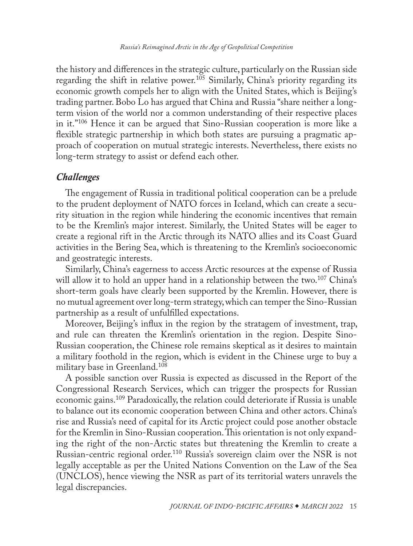#### *Russia's Reimagined Arctic in the Age of Geopolitical Competition*

<span id="page-14-0"></span>the history and differences in the strategic culture, particularly on the Russian side regarding the shift in relative power.<sup>105</sup> Similarly, China's priority regarding its economic growth compels her to align with the United States, which is Beijing's trading partner. Bobo Lo has argued that China and Russia "share neither a longterm vision of the world nor a common understanding of their respective places in it."[106](#page-22-0) Hence it can be argued that Sino-Russian cooperation is more like a flexible strategic partnership in which both states are pursuing a pragmatic approach of cooperation on mutual strategic interests. Nevertheless, there exists no long-term strategy to assist or defend each other.

## *Challenges*

The engagement of Russia in traditional political cooperation can be a prelude to the prudent deployment of NATO forces in Iceland, which can create a security situation in the region while hindering the economic incentives that remain to be the Kremlin's major interest. Similarly, the United States will be eager to create a regional rift in the Arctic through its NATO allies and its Coast Guard activities in the Bering Sea, which is threatening to the Kremlin's socioeconomic and geostrategic interests.

Similarly, China's eagerness to access Arctic resources at the expense of Russia will allow it to hold an upper hand in a relationship between the two.<sup>[107](#page-22-0)</sup> China's short-term goals have clearly been supported by the Kremlin. However, there is no mutual agreement over long-term strategy, which can temper the Sino-Russian partnership as a result of unfulfilled expectations.

Moreover, Beijing's influx in the region by the stratagem of investment, trap, and rule can threaten the Kremlin's orientation in the region. Despite Sino-Russian cooperation, the Chinese role remains skeptical as it desires to maintain a military foothold in the region, which is evident in the Chinese urge to buy a military base in Greenland[.108](#page-22-0)

A possible sanction over Russia is expected as discussed in the Report of the Congressional Research Services, which can trigger the prospects for Russian economic gains.[109](#page-22-0) Paradoxically, the relation could deteriorate if Russia is unable to balance out its economic cooperation between China and other actors. China's rise and Russia's need of capital for its Arctic project could pose another obstacle for the Kremlin in Sino-Russian cooperation. This orientation is not only expanding the right of the non-Arctic states but threatening the Kremlin to create a Russian-centric regional order.[110](#page-22-0) Russia's sovereign claim over the NSR is not legally acceptable as per the United Nations Convention on the Law of the Sea (UNCLOS), hence viewing the NSR as part of its territorial waters unravels the legal discrepancies.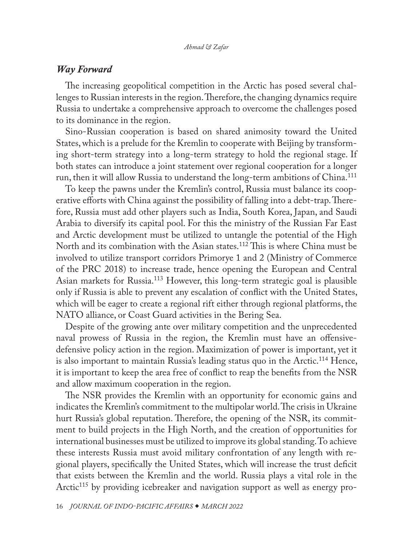## <span id="page-15-0"></span>*Way Forward*

The increasing geopolitical competition in the Arctic has posed several challenges to Russian interests in the region. Therefore, the changing dynamics require Russia to undertake a comprehensive approach to overcome the challenges posed to its dominance in the region.

Sino-Russian cooperation is based on shared animosity toward the United States, which is a prelude for the Kremlin to cooperate with Beijing by transforming short-term strategy into a long-term strategy to hold the regional stage. If both states can introduce a joint statement over regional cooperation for a longer run, then it will allow Russia to understand the long-term ambitions of China.<sup>111</sup>

To keep the pawns under the Kremlin's control, Russia must balance its cooperative efforts with China against the possibility of falling into a debt-trap. Therefore, Russia must add other players such as India, South Korea, Japan, and Saudi Arabia to diversify its capital pool. For this the ministry of the Russian Far East and Arctic development must be utilized to untangle the potential of the High North and its combination with the Asian states.[112](#page-22-0) This is where China must be involved to utilize transport corridors Primorye 1 and 2 (Ministry of Commerce of the PRC 2018) to increase trade, hence opening the European and Central Asian markets for Russia.[113](#page-22-0) However, this long-term strategic goal is plausible only if Russia is able to prevent any escalation of conflict with the United States, which will be eager to create a regional rift either through regional platforms, the NATO alliance, or Coast Guard activities in the Bering Sea.

Despite of the growing ante over military competition and the unprecedented naval prowess of Russia in the region, the Kremlin must have an offensivedefensive policy action in the region. Maximization of power is important, yet it is also important to maintain Russia's leading status quo in the Arctic.<sup>114</sup> Hence, it is important to keep the area free of conflict to reap the benefits from the NSR and allow maximum cooperation in the region.

The NSR provides the Kremlin with an opportunity for economic gains and indicates the Kremlin's commitment to the multipolar world. The crisis in Ukraine hurt Russia's global reputation. Therefore, the opening of the NSR, its commitment to build projects in the High North, and the creation of opportunities for international businesses must be utilized to improve its global standing. To achieve these interests Russia must avoid military confrontation of any length with regional players, specifically the United States, which will increase the trust deficit that exists between the Kremlin and the world. Russia plays a vital role in the Arctic<sup>115</sup> by providing icebreaker and navigation support as well as energy pro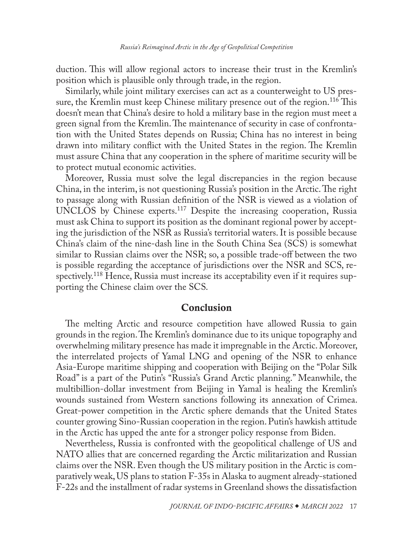<span id="page-16-0"></span>duction. This will allow regional actors to increase their trust in the Kremlin's position which is plausible only through trade, in the region.

Similarly, while joint military exercises can act as a counterweight to US pressure, the Kremlin must keep Chinese military presence out of the region.<sup>116</sup> This doesn't mean that China's desire to hold a military base in the region must meet a green signal from the Kremlin. The maintenance of security in case of confrontation with the United States depends on Russia; China has no interest in being drawn into military conflict with the United States in the region. The Kremlin must assure China that any cooperation in the sphere of maritime security will be to protect mutual economic activities.

Moreover, Russia must solve the legal discrepancies in the region because China, in the interim, is not questioning Russia's position in the Arctic. The right to passage along with Russian definition of the NSR is viewed as a violation of UNCLOS by Chinese experts.[117](#page-22-0) Despite the increasing cooperation, Russia must ask China to support its position as the dominant regional power by accepting the jurisdiction of the NSR as Russia's territorial waters. It is possible because China's claim of the nine-dash line in the South China Sea (SCS) is somewhat similar to Russian claims over the NSR; so, a possible trade-off between the two is possible regarding the acceptance of jurisdictions over the NSR and SCS, respectively.[118](#page-22-0) Hence, Russia must increase its acceptability even if it requires supporting the Chinese claim over the SCS.

## Conclusion

The melting Arctic and resource competition have allowed Russia to gain grounds in the region. The Kremlin's dominance due to its unique topography and overwhelming military presence has made it impregnable in the Arctic. Moreover, the interrelated projects of Yamal LNG and opening of the NSR to enhance Asia-Europe maritime shipping and cooperation with Beijing on the "Polar Silk Road" is a part of the Putin's "Russia's Grand Arctic planning." Meanwhile, the multibillion-dollar investment from Beijing in Yamal is healing the Kremlin's wounds sustained from Western sanctions following its annexation of Crimea. Great-power competition in the Arctic sphere demands that the United States counter growing Sino-Russian cooperation in the region. Putin's hawkish attitude in the Arctic has upped the ante for a stronger policy response from Biden.

Nevertheless, Russia is confronted with the geopolitical challenge of US and NATO allies that are concerned regarding the Arctic militarization and Russian claims over the NSR. Even though the US military position in the Arctic is comparatively weak, US plans to station F-35s in Alaska to augment already-stationed F-22s and the installment of radar systems in Greenland shows the dissatisfaction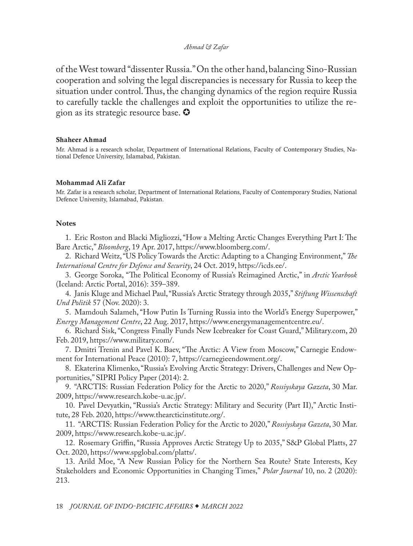<span id="page-17-0"></span>of the West toward "dissenter Russia." On the other hand, balancing Sino-Russian cooperation and solving the legal discrepancies is necessary for Russia to keep the situation under control. Thus, the changing dynamics of the region require Russia to carefully tackle the challenges and exploit the opportunities to utilize the region as its strategic resource base.  $\bullet$ 

#### Shaheer Ahmad

Mr. Ahmad is a research scholar, Department of International Relations, Faculty of Contemporary Studies, National Defence University, Islamabad, Pakistan.

#### Mohammad Ali Zafar

[Mr. Zafar is a research scholar, Department of International Relations, Faculty of Contemporary Studies, National](#page-0-0)  Defence University, Islamabad, Pakistan.

#### **Notes**

[1](#page-1-0). Eric Roston and Blacki Migliozzi, "How a Melting Arctic Changes Everything Part I: The Bare Arctic," *Bloomberg*, 19 Apr. 2017, [https://www.bloomberg.com/.](https://www.bloomberg.com/graphics/2017-arctic/)

[2](#page-1-0). Richard Weitz, "US Policy Towards the Arctic: Adapting to a Changing Environment," *The International Centre for Defence and Security*, 24 Oct. 2019, [https://icds.ee/](https://icds.ee/en/us-policy-towards-the-arctic-adapting-to-a-changing-environment/).

[3](#page-1-0). George Soroka, "The Political Economy of Russia's Reimagined Arctic," in *Arctic Yearbook* (Iceland: Arctic Portal, 2016): 359–389.

[4](#page-1-0). Janis Kluge and Michael Paul, "Russia's Arctic Strategy through 2035," *Stiftung Wissenschaft Und Politik* 57 (Nov. 2020): 3.

[5](#page-1-0). Mamdouh Salameh, "How Putin Is Turning Russia into the World's Energy Superpower," *Energy Management Centre*, 22 Aug. 2017, [https://www.energymanagementcentre.eu/](https://www.energymanagementcentre.eu/views-on-energy-news/energy-superpower/).

[6](#page-1-0). Richard Sisk, "Congress Finally Funds New Icebreaker for Coast Guard," Military.com, 20 Feb. 2019, [https://www.military.com/.](https://www.military.com/dodbuzz/2019/02/20/congress-finally-funds-new-icebreaker-coast-guard.html)

[7](#page-2-0). Dmitri Trenin and Pavel K. Baev, "The Arctic: A View from Moscow," Carnegie Endowment for International Peace (2010): 7, [https://carnegieendowment.org/](https://carnegieendowment.org/files/arctic_cooperation.pdf).

[8](#page-2-0). Ekaterina Klimenko, "Russia's Evolving Arctic Strategy: Drivers, Challenges and New Opportunities," SIPRI Policy Paper (2014): 2.

[9](#page-2-0). "ARCTIS: Russian Federation Policy for the Arctic to 2020," *Rossiyskaya Gazeta*, 30 Mar. 2009, [https://www.research.kobe-u.ac.jp/.](https://www.research.kobe-u.ac.jp/gsics-pcrc/sympo/20160728/documents/Keynote/Russian_Arctic_Policy_2009.pdf)

[10](#page-2-0). Pavel Devyatkin, "Russia's Arctic Strategy: Military and Security (Part II)," Arctic Institute, 28 Feb. 2020, [https://www.thearcticinstitute.org/](https://www.thearcticinstitute.org/russias-arctic-military-and-security-part-two/).

[11](#page-3-0). "ARCTIS: Russian Federation Policy for the Arctic to 2020," *Rossiyskaya Gazeta*, 30 Mar. 2009, [https://www.research.kobe-u.ac.jp/.](https://www.research.kobe-u.ac.jp/gsics-pcrc/sympo/20160728/documents/Keynote/Russian_Arctic_Policy_2009.pdf)

[12](#page-3-0). Rosemary Griffin, "Russia Approves Arctic Strategy Up to 2035," S&P Global Platts, 27 Oct. 2020, [https://www.spglobal.com/platts/](https://www.spglobal.com/platts/en/market-insights/latest-news/coal/102720-russia-approves-arctic-strategy-up-to-2035).

[13](#page-3-0). Arild Moe, "A New Russian Policy for the Northern Sea Route? State Interests, Key Stakeholders and Economic Opportunities in Changing Times," *Polar Journal* 10, no. 2 (2020): 213.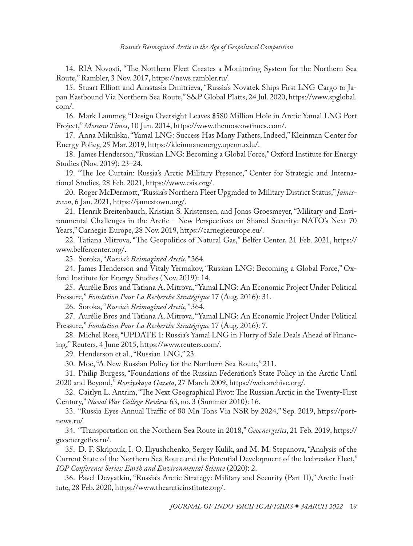<span id="page-18-0"></span>[14](#page-3-0). RIA Novosti, "The Northern Fleet Creates a Monitoring System for the Northern Sea Route," Rambler, 3 Nov. 2017, [https://news.rambler.ru/](https://news.rambler.ru/army/38325166-severnyy-flot-sozdaet-sistemu-monitoringa-sevmorputi/).

[15](#page-3-0). Stuart Elliott and Anastasia Dmitrieva, "Russia's Novatek Ships First LNG Cargo to Japan Eastbound Via Northern Sea Route," S&P Global Platts, 24 Jul. 2020, [https://www.spglobal.](https://www.spglobal.com/platts/en/market-insights/latest-news/natural-gas/072420-russias-novatek-ships-first-lng-cargo-to-japan-eastbound-via-northern-sea-route) [com/.](https://www.spglobal.com/platts/en/market-insights/latest-news/natural-gas/072420-russias-novatek-ships-first-lng-cargo-to-japan-eastbound-via-northern-sea-route)

[16](#page-4-0). Mark Lammey, "Design Oversight Leaves \$580 Million Hole in Arctic Yamal LNG Port Project," *Moscow Times*, 10 Jun. 2014, [https://www.themoscowtimes.com/.](https://www.themoscowtimes.com/2014/06/10/design-oversight-leaves-580-million-hole-in-arctic-yamal-lng-port-project-a36343)

[17](#page-4-0). Anna Mikulska, "Yamal LNG: Success Has Many Fathers, Indeed," Kleinman Center for Energy Policy, 25 Mar. 2019, [https://kleinmanenergy.upenn.edu/.](https://kleinmanenergy.upenn.edu/news-insights/yamal-lng-success-has-many-fathers-indeed/)

[18](#page-4-0). James Henderson, "Russian LNG: Becoming a Global Force," Oxford Institute for Energy Studies (Nov. 2019): 23–24.

[19](#page-4-0). "The Ice Curtain: Russia's Arctic Military Presence," Center for Strategic and International Studies, 28 Feb. 2021, [https://www.csis.org/.](https://www.csis.org/features/ice-curtain-russias-arctic-military-presence)

[20](#page-4-0). Roger McDermott, "Russia's Northern Fleet Upgraded to Military District Status," *Jamestown*, 6 Jan. 2021, [https://jamestown.org/](https://jamestown.org/program/russias-northern-fleet-upgraded-to-military-district-status/).

[21](#page-4-0). Henrik Breitenbauch, Kristian S. Kristensen, and Jonas Groesmeyer, "Military and Environmental Challenges in the Arctic - New Perspectives on Shared Security: NATO's Next 70 Years," Carnegie Europe, 28 Nov. 2019, [https://carnegieeurope.eu/](https://carnegieeurope.eu/2019/11/28/military-and-environmental-challenges-in-arctic-pub-80424).

[22](#page-4-0). Tatiana Mitrova, "The Geopolitics of Natural Gas," Belfer Center*,* 21 Feb. 2021, [https://](https://www.belfercenter.org/sites/default/files/legacy/files/CES-pub-GeoGasRussia-022114.pdf) [www.belfercenter.org/](https://www.belfercenter.org/sites/default/files/legacy/files/CES-pub-GeoGasRussia-022114.pdf).

[23](#page-4-0). Soroka, "*Russia's Reimagined Arctic,"* 364*.*

[24](#page-4-0). James Henderson and Vitaly Yermakov, "Russian LNG: Becoming a Global Force," Oxford Institute for Energy Studies (Nov. 2019): 14.

[25](#page-5-0). Aurélie Bros and Tatiana A. Mitrova, "Yamal LNG: An Economic Project Under Political Pressure," *Fondation Pour La Recherche Stratégique* 17 (Aug. 2016): 31.

[26](#page-5-0). Soroka, "*Russia's Reimagined Arctic,"* 364.

[27](#page-5-0). Aurélie Bros and Tatiana A. Mitrova, "Yamal LNG: An Economic Project Under Political Pressure," *Fondation Pour La Recherche Stratégique* 17 (Aug. 2016): 7.

[28](#page-5-0). Michel Rose, "UPDATE 1: Russia's Yamal LNG in Flurry of Sale Deals Ahead of Financing," Reuters, 4 June 2015, [https://www.reuters.com/.](https://www.reuters.com/article/novatek-gunvor-lng-idUSL5N0YQ2XQ20150604)

[29](#page-5-0). Henderson et al., "Russian LNG," 23.

[30](#page-6-0). Moe, "A New Russian Policy for the Northern Sea Route," 211.

[31](#page-6-0). Philip Burgess, "Foundations of the Russian Federation's State Policy in the Arctic Until 2020 and Beyond," *Rossiyskaya Gazeta*, 27 March 2009, [https://web.archive.org/.](https://web.archive.org/web/20220107040124/https://rg.ru/2009/03/30/arktika-osnovy-dok.html)

[32](#page-6-0). Caitlyn L. Antrim, "The Next Geographical Pivot: The Russian Arctic in the Twenty-First Century," *Naval War College Review* 63, no. 3 (Summer 2010): 16.

[33](#page-6-0). "Russia Eyes Annual Traffic of 80 Mn Tons Via NSR by 2024," Sep. 2019, [https://port](https://portnews.ru/digest/21244/)[news.ru/.](https://portnews.ru/digest/21244/)

[34](#page-6-0). "Transportation on the Northern Sea Route in 2018," *Geoenergetics*, 21 Feb. 2019, [https://](https://geoenergetics.ru/2019/02/21/perevozki-po-severnomu-morskomu-puti-za-2018-god/) [geoenergetics.ru/.](https://geoenergetics.ru/2019/02/21/perevozki-po-severnomu-morskomu-puti-za-2018-god/)

[35](#page-6-0). D. F. Skripnuk, I. O. Iliyushchenko, Sergey Kulik, and M. M. Stepanova, "Analysis of the Current State of the Northern Sea Route and the Potential Development of the Icebreaker Fleet," *IOP Conference Series: Earth and Environmental Science* (2020): 2.

[36](#page-7-0). Pavel Devyatkin, "Russia's Arctic Strategy: Military and Security (Part II)," Arctic Institute, 28 Feb. 2020, <https://www.thearcticinstitute.org/>.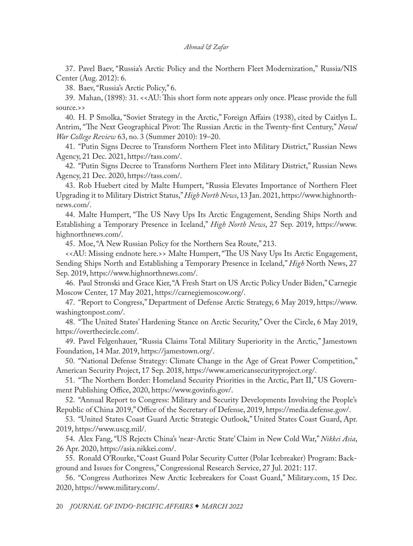<span id="page-19-0"></span>[37](#page-7-0). Pavel Baev, "Russia's Arctic Policy and the Northern Fleet Modernization," Russia/NIS Center (Aug. 2012): 6.

[38](#page-7-0). Baev, "Russia's Arctic Policy," 6.

[39](#page-7-0). Mahan, (1898): 31. <<AU: This short form note appears only once. Please provide the full source.>>

[40](#page-7-0). H. P Smolka, "Soviet Strategy in the Arctic," Foreign Affairs (1938), cited by Caitlyn L. Antrim, "The Next Geographical Pivot: The Russian Arctic in the Twenty-first Century," *Naval War College Review* 63, no. 3 (Summer 2010): 19–20.

[41](#page-7-0). "Putin Signs Decree to Transform Northern Fleet into Military District," Russian News Agency, 21 Dec. 2021, [https://tass.com/.](https://tass.com/defense/1238053)

[42](#page-7-0). "Putin Signs Decree to Transform Northern Fleet into Military District," Russian News Agency, 21 Dec. 2020, [https://tass.com/.](https://tass.com/defense/1238053)

[43](#page-7-0). Rob Huebert cited by Malte Humpert, "Russia Elevates Importance of Northern Fleet Upgrading it to Military District Status," *High North News*, 13 Jan. 2021, [https://www.highnorth](https://www.highnorthnews.com/en/russia-elevates-importance-northern-fleet-upgrading-it-military-district-status)[news.com/](https://www.highnorthnews.com/en/russia-elevates-importance-northern-fleet-upgrading-it-military-district-status).

[44](#page-7-0). Malte Humpert, "The US Navy Ups Its Arctic Engagement, Sending Ships North and Establishing a Temporary Presence in Iceland," *High North News*, 27 Sep. 2019, [https://www.](https://www.highnorthnews.com/en/us-navy-ups-its-arctic-engagement-sending-ships-north-and-establishing-temporary-presence-iceland) [highnorthnews.com/.](https://www.highnorthnews.com/en/us-navy-ups-its-arctic-engagement-sending-ships-north-and-establishing-temporary-presence-iceland)

[45](#page-7-0). Moe, "A New Russian Policy for the Northern Sea Route," 213.

<<AU: Missing endnote here.>> Malte Humpert, "The US Navy Ups Its Arctic Engagement, Sending Ships North and Establishing a Temporary Presence in Iceland," *High* North News, 27 Sep. 2019, [https://www.highnorthnews.com/.](https://www.highnorthnews.com/en/us-navy-ups-its-arctic-engagement-sending-ships-north-and-establishing-temporary-presence-iceland)

[46](#page-8-0). Paul Stronski and Grace Kier, "A Fresh Start on US Arctic Policy Under Biden," Carnegie Moscow Center*,* 17 May 2021, [https://carnegiemoscow.org/](https://carnegiemoscow.org/commentary/84543).

[47](#page-8-0). "Report to Congress," Department of Defense Arctic Strategy, 6 May 2019, [https://www.](https://www.washingtonpost.com/world/national-security/pompeo-warns-of-dangers-of-russian-and-chinese-activities-in-the-arctic/2019/05/06/e2e99690-7001-11e9-9eb4-0828f5389013_story.html) [washingtonpost.com/](https://www.washingtonpost.com/world/national-security/pompeo-warns-of-dangers-of-russian-and-chinese-activities-in-the-arctic/2019/05/06/e2e99690-7001-11e9-9eb4-0828f5389013_story.html).

[48](#page-8-0). "The United States' Hardening Stance on Arctic Security," Over the Circle, 6 May 2019, <https://overthecircle.com/>.

[49](#page-8-0). Pavel Felgenhauer, "Russia Claims Total Military Superiority in the Arctic," Jamestown Foundation, 14 Mar. 2019, [https://jamestown.org/](https://jamestown.org/program/russia-claims-total-military-superiority-in-the-arctic/).

[50](#page-8-0). "National Defense Strategy: Climate Change in the Age of Great Power Competition," American Security Project, 17 Sep. 2018, [https://www.americansecurityproject.org/.](https://www.americansecurityproject.org/climate-change-in-the-age-of-great-power-competition/)

[51](#page-8-0). "The Northern Border: Homeland Security Priorities in the Arctic, Part II," US Government Publishing Office, 2020, [https://www.govinfo.gov/](https://www.govinfo.gov/content/pkg/CHRG-116hhrg41304/html/CHRG-116hhrg41304.htm).

[52](#page-8-0). "Annual Report to Congress: Military and Security Developments Involving the People's Republic of China 2019," Office of the Secretary of Defense, 2019, [https://media.defense.gov/.](https://media.defense.gov/2019/May/02/2002127082/-1/-1/1/2019_CHINA_MILITARY_POWER_REPORT.pdf)

[53](#page-8-0). "United States Coast Guard Arctic Strategic Outlook," United States Coast Guard, Apr. 2019, [https://www.uscg.mil/.](https://www.uscg.mil/arctic/)

[54](#page-8-0). Alex Fang, "US Rejects China's 'near-Arctic State' Claim in New Cold War," *Nikkei Asia*, 26 Apr. 2020, [https://asia.nikkei.com/.](https://asia.nikkei.com/Politics/International-relations/US-rejects-China-s-near-Arctic-state-claim-in-new-cold-war)

[55](#page-8-0). Ronald O'Rourke, "Coast Guard Polar Security Cutter (Polar Icebreaker) Program: Background and Issues for Congress," Congressional Research Service, 27 Jul. 2021: 117.

[56](#page-8-0). "Congress Authorizes New Arctic Icebreakers for Coast Guard," Military.com, 15 Dec. 2020, [https://www.military.com/.](https://www.military.com/daily-news/2020/12/15/congress-authorizes-new-arctic-icebreakers-coast-guard.html)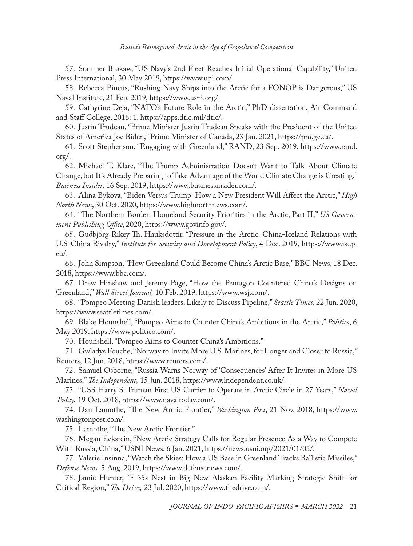<span id="page-20-0"></span>[57](#page-8-0). Sommer Brokaw, "US Navy's 2nd Fleet Reaches Initial Operational Capability," United Press International, 30 May 2019, [https://www.upi.com/](https://www.upi.com/Defense-News/2019/05/30/US-Navys-2nd-Fleet-reaches-initial-operational-capability/7791559228757/).

[58](#page-8-0). Rebecca Pincus, "Rushing Navy Ships into the Arctic for a FONOP is Dangerous," US Naval Institute, 21 Feb. 2019, [https://www.usni.org/](https://www.usni.org/magazines/proceedings/2019/january/rushing-navy-ships-arctic-fonop-dangerous).

[59](#page-9-0). Cathyrine Deja, "NATO's Future Role in the Arctic," PhD dissertation, Air Command and Staff College, 2016: 1. [https://apps.dtic.mil/dtic/](https://apps.dtic.mil/dtic/tr/fulltext/u2/1037210.pdf).

[60](#page-9-0). Justin Trudeau, "Prime Minister Justin Trudeau Speaks with the President of the United States of America Joe Biden," Prime Minister of Canada, 23 Jan. 2021, [https://pm.gc.ca/.](https://pm.gc.ca/en/news/readouts/2021/01/22/prime-minister-justin-trudeau-speaks-president-united-states-america-joe)

[61](#page-9-0). Scott Stephenson, "Engaging with Greenland," RAND, 23 Sep. 2019, [https://www.rand.](https://www.rand.org/blog/2019/09/engaging-with-greenland.html) [org/.](https://www.rand.org/blog/2019/09/engaging-with-greenland.html)

[62](#page-9-0). Michael T. Klare, "The Trump Administration Doesn't Want to Talk About Climate Change, but It's Already Preparing to Take Advantage of the World Climate Change is Creating," *Business Insider*, 16 Sep. 2019, [https://www.businessinsider.com/.](https://www.businessinsider.com/trump-administration-focuses-on-arctic-as-it-ignores-climate-change-2019-9)

[63](#page-9-0). Alina Bykova, "Biden Versus Trump: How a New President Will Affect the Arctic," *High North News*, 30 Oct. 2020, [https://www.highnorthnews.com/.](https://www.highnorthnews.com/)

[64](#page-9-0). "The Northern Border: Homeland Security Priorities in the Arctic, Part II," *US Government Publishing Office*, 2020, [https://www.govinfo.gov/.](https://www.govinfo.gov/content/pkg/CHRG-116hhrg41304/html/CHRG-116hhrg41304.htm)

[65](#page-9-0). Guðbjörg Ríkey Th. Hauksdóttir, "Pressure in the Arctic: China-Iceland Relations with U.S-China Rivalry," *Institute for Security and Development Policy*, 4 Dec. 2019, [https://www.isdp.](https://www.isdp.eu/pressure-in-the-arctic-china-iceland-relations/) [eu/.](https://www.isdp.eu/pressure-in-the-arctic-china-iceland-relations/)

[66](#page-9-0). John Simpson, "How Greenland Could Become China's Arctic Base," BBC News, 18 Dec. 2018, [https://www.bbc.com/](https://www.bbc.com/news/world-europe-46386867).

[67](#page-9-0). Drew Hinshaw and Jeremy Page, "How the Pentagon Countered China's Designs on Greenland," *Wall Street Journal,* 10 Feb. 2019, [https://www.wsj.com/.](https://www.wsj.com/articles/how-the-pentagon-countered-chinas-designs-on-greenland-11549812296)

[68](#page-9-0). "Pompeo Meeting Danish leaders, Likely to Discuss Pipeline," *Seattle Times,* 22 Jun. 2020, [https://www.seattletimes.com/.](https://www.seattletimes.com/nation-world/world/pompeo-meeting-danish-leaders-likely-to-discuss-pipeline/)

[69](#page-9-0). Blake Hounshell, "Pompeo Aims to Counter China's Ambitions in the Arctic," *Politico*, 6 May 2019, [https://www.politico.com/.](https://www.politico.com/story/2019/05/06/pompeo-arctic-china-russia-1302649)

[70](#page-10-0). Hounshell, "Pompeo Aims to Counter China's Ambitions."

[71](#page-10-0). Gwladys Fouche, "Norway to Invite More U.S. Marines, for Longer and Closer to Russia," Reuters, 12 Jun. 2018, [https://www.reuters.com/.](https://www.reuters.com/article/us-norway-us-russia-idUSKBN1J8149)

[72](#page-10-0). Samuel Osborne, "Russia Warns Norway of 'Consequences' After It Invites in More US Marines," *The Independent,* 15 Jun. 2018, [https://www.independent.co.uk/](https://www.independent.co.uk/news/world/europe/russia-norway-us-marines-nato-border-moscow-ukraine-crimea-a8399601.html).

[73](#page-10-0). "USS Harry S. Truman First US Carrier to Operate in Arctic Circle in 27 Years," *Naval Today,* 19 Oct. 2018, [https://www.navaltoday.com/](https://www.navaltoday.com/2018/10/19/uss-harry-s-truman-first-us-carrier-to-operate-in-arctic-circle-in-27-years/).

[74](#page-10-0). Dan Lamothe, "The New Arctic Frontier," *Washington Post*, 21 Nov. 2018, [https://www.](https://www.washingtonpost.com/graphics/2018/world/arctic-climate-change-military-russia-china/) [washingtonpost.com/](https://www.washingtonpost.com/graphics/2018/world/arctic-climate-change-military-russia-china/).

[75](#page-10-0). Lamothe, "The New Arctic Frontier."

[76](#page-10-0). Megan Eckstein, "New Arctic Strategy Calls for Regular Presence As a Way to Compete With Russia, China," USNI News, 6 Jan. 2021, [https://news.usni.org/2021/01/05/](https://news.usni.org/2021/01/05/new-arctic-strategy-calls-for-regular-presence-as-a-way-to-compete-with-russia-china).

[77](#page-10-0). Valerie Insinna, "Watch the Skies: How a US Base in Greenland Tracks Ballistic Missiles," *Defense News,* 5 Aug. 2019, [https://www.defensenews.com/](https://www.defensenews.com/smr/a-modern-nato/2019/08/05/watch-the-skies-how-a-us-base-in-greenland-tracks-ballistic-missiles/).

[78](#page-10-0). Jamie Hunter, "F-35s Nest in Big New Alaskan Facility Marking Strategic Shift for Critical Region," *The Drive,* 23 Jul. 2020, [https://www.thedrive.com/.](https://www.thedrive.com/the-war-zone/35062/f-35s-nest-in-massive-new-alaskan-facilities-marking-strategic-shift-for-critical-region)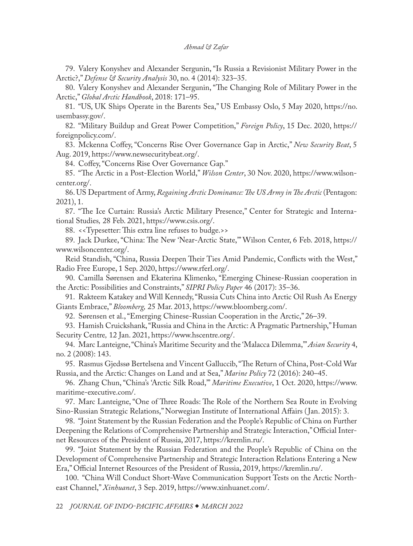<span id="page-21-0"></span>[79](#page-10-0). Valery Konyshev and Alexander Sergunin, "Is Russia a Revisionist Military Power in the Arctic?," *Defense & Security Analysis* 30, no. 4 (2014): 323–35.

[80](#page-11-0). Valery Konyshev and Alexander Sergunin, "The Changing Role of Military Power in the Arctic," *Global Arctic Handbook*, 2018: 171–95.

[81](#page-11-0). "US, UK Ships Operate in the Barents Sea," US Embassy Oslo, 5 May 2020, [https://no.](https://no.usembassy.gov/u-s-u-k-ships-operate-in-the-barents-sea/) [usembassy.gov/](https://no.usembassy.gov/u-s-u-k-ships-operate-in-the-barents-sea/).

[82](#page-11-0). "Military Buildup and Great Power Competition," *Foreign Policy*, 15 Dec. 2020, https:// foreignpolicy.com/.

[83](#page-11-0). Mckenna Coffey, "Concerns Rise Over Governance Gap in Arctic," *New Security Beat*, 5 Aug. 2019, [https://www.newsecuritybeat.org/.](https://www.newsecuritybeat.org/2019/08/concerns-rise-governance-gap-arctic/)

[84](#page-11-0). Coffey, "Concerns Rise Over Governance Gap."

[85](#page-11-0). "The Arctic in a Post-Election World," *Wilson Center*, 30 Nov. 2020, [https://www.wilson](https://www.wilsoncenter.org/event/arctic-post-election-world)[center.org/](https://www.wilsoncenter.org/event/arctic-post-election-world).

[86](#page-11-0). US Department of Army, *Regaining Arctic Dominance: The US Army in The Arctic* (Pentagon: 2021), 1.

[87](#page-11-0). "The Ice Curtain: Russia's Arctic Military Presence," Center for Strategic and International Studies*,* 28 Feb. 2021, [https://www.csis.org/.](https://www.csis.org/features/ice-curtain-russias-arctic-military-presencec)

[88](#page-11-0). <<Typesetter: This extra line refuses to budge.>>

[89](#page-12-0). Jack Durkee, "China: The New 'Near-Arctic State,'" Wilson Center, 6 Feb. 2018, [https://](https://www.wilsoncenter.org/article/china-the-new-near-arctic-state) [www.wilsoncenter.org/](https://www.wilsoncenter.org/article/china-the-new-near-arctic-state).

Reid Standish, "China, Russia Deepen Their Ties Amid Pandemic, Conflicts with the West," Radio Free Europe, 1 Sep. 2020, [https://www.rferl.org/](https://www.rferl.org/a/china-russia-deepen-their-ties-amid-pandemic-conflicts-with-west/30814684.html).

[90](#page-12-0). Camilla Sørensen and Ekaterina Klimenko, "Emerging Chinese-Russian cooperation in the Arctic: Possibilities and Constraints," *SIPRI Policy Paper* 46 (2017): 35–36.

[91](#page-12-0). Rakteem Katakey and Will Kennedy, "Russia Cuts China into Arctic Oil Rush As Energy Giants Embrace," *Bloomberg,* 25 Mar. 2013, [https://www.bloomberg.com/.](https://www.bloomberg.com/news/articles/2013-03-25/russia-cuts-china-into-arctic-oil-rush-as-energy-giants-embrace)

[92](#page-12-0). Sørensen et al., "Emerging Chinese-Russian Cooperation in the Arctic," 26–39.

[93](#page-12-0). Hamish Cruickshank, "Russia and China in the Arctic: A Pragmatic Partnership," Human Security Centre*,* 12 Jan. 2021, [https://www.hscentre.org/.](https://www.hscentre.org/uncategorized/russia-and-china-in-the-arctic-a-pragmatic-partnership/)

[94](#page-12-0). Marc Lanteigne, "China's Maritime Security and the 'Malacca Dilemma,'" *Asian Security* 4, no. 2 (2008): 143.

[95](#page-12-0). Rasmus Gjedssø Bertelsena and Vincent Galluccib, "The Return of China, Post-Cold War Russia, and the Arctic: Changes on Land and at Sea," *Marine Policy* 72 (2016): 240–45.

[96](#page-12-0). Zhang Chun, "China's 'Arctic Silk Road,'" *Maritime Executive*, 1 Oct. 2020, [https://www.](https://www.maritime-executive.com/editorials/china-s-arctic-silk-road) [maritime-executive.com/](https://www.maritime-executive.com/editorials/china-s-arctic-silk-road).

[97](#page-12-0). Marc Lanteigne, "One of Three Roads: The Role of the Northern Sea Route in Evolving Sino-Russian Strategic Relations," Norwegian Institute of International Affairs ( Jan. 2015): 3.

[98](#page-12-0). "Joint Statement by the Russian Federation and the People's Republic of China on Further Deepening the Relations of Comprehensive Partnership and Strategic Interaction," Official Internet Resources of the President of Russia, 2017, [https://kremlin.ru/.](https://kremlin.ru/supplement/5218)

[99](#page-12-0). "Joint Statement by the Russian Federation and the People's Republic of China on the Development of Comprehensive Partnership and Strategic Interaction Relations Entering a New Era," Official Internet Resources of the President of Russia, 2019, [https://kremlin.ru/](https://kremlin.ru/supplement/5413).

[100](#page-13-0). "China Will Conduct Short-Wave Communication Support Tests on the Arctic Northeast Channel," *Xinhuanet*, 3 Sep. 2019, [https://www.xinhuanet.com/.](https://www.xinhuanet.com/politics/2019-09/03/c_1124954926.htm)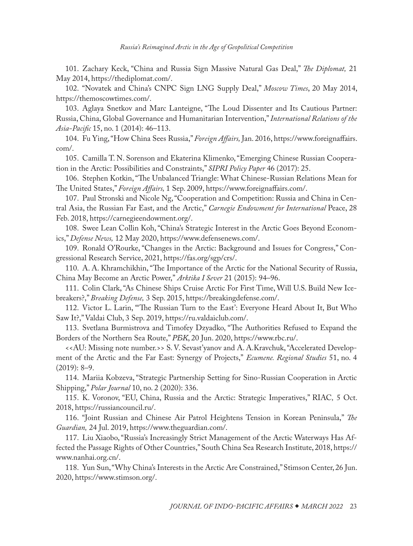<span id="page-22-0"></span>[101](#page-13-0). Zachary Keck, "China and Russia Sign Massive Natural Gas Deal," *The Diplomat,* 21 May 2014, [https://thediplomat.com/](https://thediplomat.com/2014/05/china-and-russia-sign-massive-natural-gas-deal/).

[102](#page-13-0). "Novatek and China's CNPC Sign LNG Supply Deal," *Moscow Times*, 20 May 2014, [https://themoscowtimes.com/](https://themoscowtimes.com/business/article/novatek-and-chinas-cnpc-sign-lng-supply-deal/500497.html).

[103](#page-13-0). Aglaya Snetkov and Marc Lanteigne, "The Loud Dissenter and Its Cautious Partner: Russia, China, Global Governance and Humanitarian Intervention," *International Relations of the Asia-Pacific* 15, no. 1 (2014): 46–113.

[104](#page-13-0). Fu Ying, "How China Sees Russia," *Foreign Affairs,* Jan. 2016, [https://www.foreignaffairs.](https://www.foreignaffairs.com/articles/china/2015-12-14/how-china-sees-russia) [com/.](https://www.foreignaffairs.com/articles/china/2015-12-14/how-china-sees-russia)

[105](#page-14-0). Camilla T. N. Sorenson and Ekaterina Klimenko, "Emerging Chinese Russian Cooperation in the Arctic: Possibilities and Constraints," *SIPRI Policy Paper* 46 (2017): 25.

[106](#page-14-0). Stephen Kotkin, "The Unbalanced Triangle: What Chinese-Russian Relations Mean for The United States," *Foreign Affairs,* 1 Sep. 2009, [https://www.foreignaffairs.com/.](https://www.foreignaffairs.com/reviews/review-essay/2009-09-01/unbalanced-triangle)

[107](#page-14-0). Paul Stronski and Nicole Ng, "Cooperation and Competition: Russia and China in Central Asia, the Russian Far East, and the Arctic," *Carnegie Endowment for International* Peace, 28 Feb. 2018, [https://carnegieendowment.org/](https://carnegieendowment.org/2018/02/28/cooperation-and-competition-russia-and-china-in-central-asia-russian-far-east-and-arctic-pub-75673).

[108](#page-14-0). Swee Lean Collin Koh, "China's Strategic Interest in the Arctic Goes Beyond Economics," *Defense News,* 12 May 2020, [https://www.defensenews.com/.](https://www.defensenews.com/opinion/commentary/2020/05/11/chinas-strategic-interest-in-the-arctic-goes-beyond-economics/)

[109](#page-14-0). Ronald O'Rourke, "Changes in the Arctic: Background and Issues for Congress," Congressional Research Service, 2021, [https://fas.org/sgp/crs/](https://fas.org/sgp/crs/misc/R41153.pdf).

[110](#page-14-0). A. A. Khramchikhin, "The Importance of the Arctic for the National Security of Russia, China May Become an Arctic Power," *Arktika I Sever* 21 (2015): 94–96.

[111](#page-15-0). Colin Clark, "As Chinese Ships Cruise Arctic For First Time, Will U.S. Build New Icebreakers?," *Breaking Defense,* 3 Sep. 2015, [https://breakingdefense.com/.](https://breakingdefense.com/2015/09/as-chinese-ships-cruise-arctic-for-first-time-will-u-s-build-new-icebreakers/)

[112](#page-15-0). Victor L. Larin, "'The Russian Turn to the East': Everyone Heard About It, But Who Saw It?," Valdai Club, 3 Sep. 2019, [https://ru.valdaiclub.com/.](https://ru.valdaiclub.com/a/highlights/vse-o-nyem-slyshali/)

[113](#page-15-0). Svetlana Burmistrova and Timofey Dzyadko, "The Authorities Refused to Expand the Borders of the Northern Sea Route," *РБК*, 20 Jun. 2020, [https://www.rbc.ru/.](https://www.rbc.ru/business/20/06/2020/5eecb19f9a7947cfd9e8abaf?from=from_main)

<<AU: Missing note number.>> S. V. Sevast'yanov and A. A.Kravchuk, "Accelerated Development of the Arctic and the Far East: Synergy of Projects," *Ecumene. Regional Studies* 51, no. 4  $(2019): 8-9.$ 

[114](#page-15-0). Mariia Kobzeva, "Strategic Partnership Setting for Sino-Russian Cooperation in Arctic Shipping," *Polar Journal* 10, no. 2 (2020): 336.

[115](#page-15-0). K. Voronov, "EU, China, Russia and the Arctic: Strategic Imperatives," RIAC*,* 5 Oct. 2018, [https://russiancouncil.ru/.](https://russiancouncil.ru/blogs/arctic/es-kitay-rossiya-i-arktika-strategicheskie-imperativy/)

[116](#page-16-0). "Joint Russian and Chinese Air Patrol Heightens Tension in Korean Peninsula," *The Guardian,* 24 Jul. 2019, [https://www.theguardian.com/](https://www.theguardian.com/world/2019/jul/24/joint-russian-and-chinese-air-patrol-heightens-tension-in-korean-peninsula).

[117](#page-16-0). Liu Xiaobo, "Russia's Increasingly Strict Management of the Arctic Waterways Has Affected the Passage Rights of Other Countries," South China Sea Research Institute, 2018, [https://](https://www.nanhai.org.cn/review_c/328.html) [www.nanhai.org.cn/.](https://www.nanhai.org.cn/review_c/328.html)

[118](#page-16-0). Yun Sun, "Why China's Interests in the Arctic Are Constrained," Stimson Center, 26 Jun. 2020, [https://www.stimson.org/](https://www.stimson.org/wp-content/uploads/2020/06/Why-China%E2%80%99s-Interests-in-the-Arctic-are-Constrained-The-Wire-China.pdf).